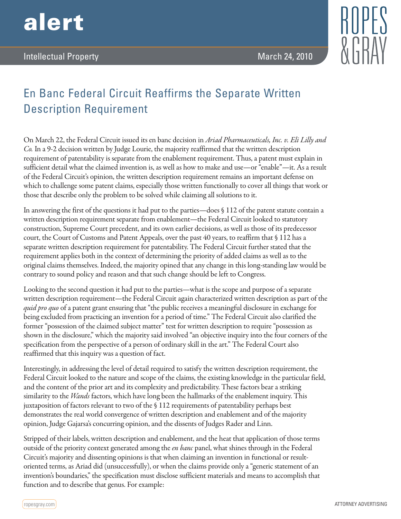



## En Banc Federal Circuit Reaffirms the Separate Written Description Requirement

On March 22, the Federal Circuit issued its en banc decision in *Ariad Pharmaceuticals, Inc. v. Eli Lilly and Co.* In a 9-2 decision written by Judge Lourie, the majority reaffirmed that the written description requirement of patentability is separate from the enablement requirement. Thus, a patent must explain in sufficient detail what the claimed invention is, as well as how to make and use—or "enable"—it. As a result of the Federal Circuit's opinion, the written description requirement remains an important defense on which to challenge some patent claims, especially those written functionally to cover all things that work or those that describe only the problem to be solved while claiming all solutions to it.

In answering the first of the questions it had put to the parties—does § 112 of the patent statute contain a written description requirement separate from enablement—the Federal Circuit looked to statutory construction, Supreme Court precedent, and its own earlier decisions, as well as those of its predecessor court, the Court of Customs and Patent Appeals, over the past 40 years, to reaffirm that § 112 has a separate written description requirement for patentability. The Federal Circuit further stated that the requirement applies both in the context of determining the priority of added claims as well as to the original claims themselves. Indeed, the majority opined that any change in this long-standing law would be contrary to sound policy and reason and that such change should be left to Congress.

Looking to the second question it had put to the parties—what is the scope and purpose of a separate written description requirement—the Federal Circuit again characterized written description as part of the *quid pro quo* of a patent grant ensuring that "the public receives a meaningful disclosure in exchange for being excluded from practicing an invention for a period of time." The Federal Circuit also clarified the former "possession of the claimed subject matter" test for written description to require "possession as shown in the disclosure," which the majority said involved "an objective inquiry into the four corners of the specification from the perspective of a person of ordinary skill in the art." The Federal Court also reaffirmed that this inquiry was a question of fact.

Interestingly, in addressing the level of detail required to satisfy the written description requirement, the Federal Circuit looked to the nature and scope of the claims, the existing knowledge in the particular field, and the content of the prior art and its complexity and predictability. These factors bear a striking similarity to the *Wands* factors, which have long been the hallmarks of the enablement inquiry. This juxtaposition of factors relevant to two of the § 112 requirements of patentability perhaps best demonstrates the real world convergence of written description and enablement and of the majority opinion, Judge Gajarsa's concurring opinion, and the dissents of Judges Rader and Linn.

Stripped of their labels, written description and enablement, and the heat that application of those terms outside of the priority context generated among the *en banc* panel, what shines through in the Federal Circuit's majority and dissenting opinions is that when claiming an invention in functional or resultoriented terms, as Ariad did (unsuccessfully), or when the claims provide only a "generic statement of an invention's boundaries," the specification must disclose sufficient materials and means to accomplish that function and to describe that genus. For example: